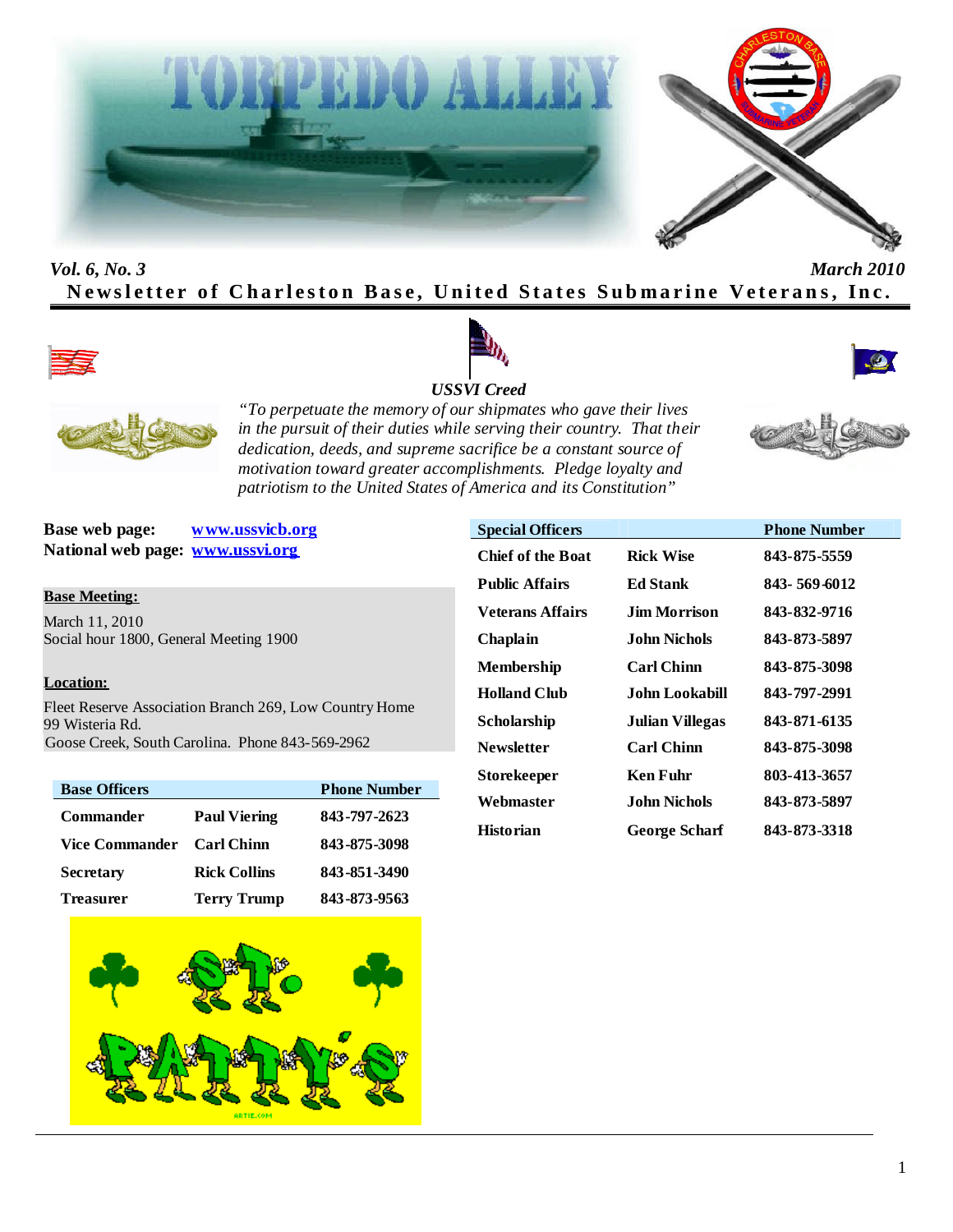

# *Vol. 6, No. 3 March 2010* **Newsletter of Charleston Base, United States Submarine Veterans, Inc.**





#### *USSVI Creed*





*"To perpetuate the memory of our shipmates who gave their lives in the pursuit of their duties while serving their country. That their dedication, deeds, and supreme sacrifice be a constant source of motivation toward greater accomplishments. Pledge loyalty and patriotism to the United States of America and its Constitution"*

**Base web page: www.ussvicb.org National web page: www.ussvi.org**

**Base Meeting:**

March 11, 2010 Social hour 1800, General Meeting 1900

#### **Location:**

Fleet Reserve Association Branch 269, Low Country Home 99 Wisteria Rd. Goose Creek, South Carolina. Phone 843-569-2962

| <b>Base Officers</b> |                     | <b>Phone Number</b> |
|----------------------|---------------------|---------------------|
| <b>Commander</b>     | <b>Paul Viering</b> | 843-797-2623        |
| Vice Commander       | <b>Carl Chinn</b>   | 843-875-3098        |
| <b>Secretary</b>     | <b>Rick Collins</b> | 843-851-3490        |
| <b>Treasurer</b>     | <b>Terry Trump</b>  | 843-873-9563        |

| <b>Chief of the Boat</b> | <b>Rick Wise</b>     | 843-875-5559 |
|--------------------------|----------------------|--------------|
| <b>Public Affairs</b>    | <b>Ed Stank</b>      | 843-569-6012 |
| <b>Veterans Affairs</b>  | <b>Jim Morrison</b>  | 843-832-9716 |
| Chaplain                 | John Nichols         | 843-873-5897 |
| <b>Membership</b>        | <b>Carl Chinn</b>    | 843-875-3098 |
| <b>Holland Club</b>      | John Lookabill       | 843-797-2991 |
| Scholarship              | Julian Villegas      | 843-871-6135 |
| <b>Newsletter</b>        | <b>Carl Chinn</b>    | 843-875-3098 |
| <b>Storekeeper</b>       | <b>Ken Fuhr</b>      | 803-413-3657 |
| Webmaster                | <b>John Nichols</b>  | 843-873-5897 |
| <b>Historian</b>         | <b>George Scharf</b> | 843-873-3318 |

**Special Officers Phone Number** 

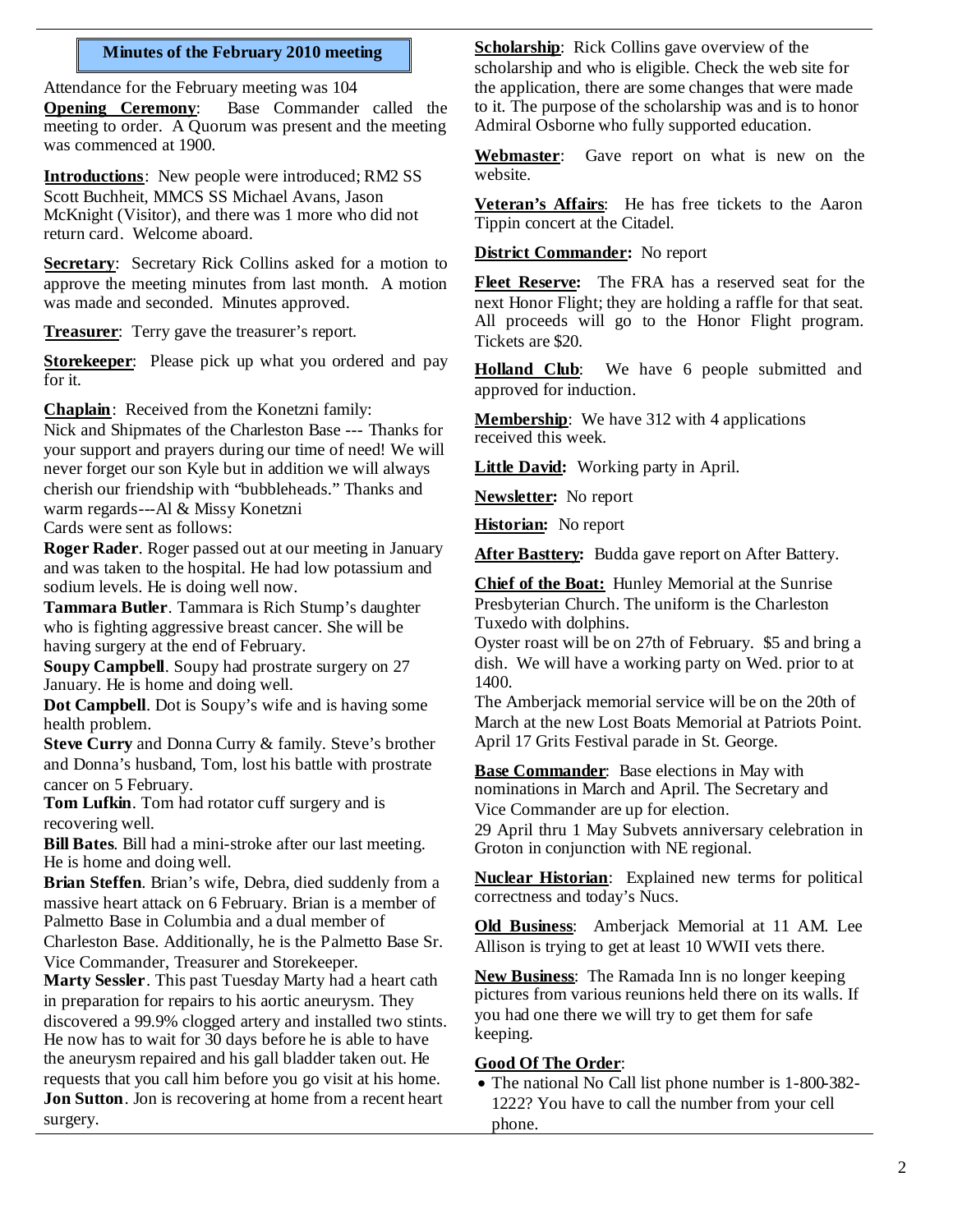## **Minutes of the February 2010 meeting**

Attendance for the February meeting was 104

**Opening Ceremony**: Base Commander called the meeting to order. A Quorum was present and the meeting was commenced at 1900.

**Introductions**: New people were introduced; RM2 SS Scott Buchheit, MMCS SS Michael Avans, Jason McKnight (Visitor), and there was 1 more who did not return card. Welcome aboard.

**Secretary:** Secretary Rick Collins asked for a motion to approve the meeting minutes from last month. A motion was made and seconded. Minutes approved.

**Treasurer**: Terry gave the treasurer's report.

**Storekeeper**: Please pick up what you ordered and pay for it.

**Chaplain**: Received from the Konetzni family:

Nick and Shipmates of the Charleston Base --- Thanks for your support and prayers during our time of need! We will never forget our son Kyle but in addition we will always cherish our friendship with "bubbleheads." Thanks and warm regards---Al & Missy Konetzni Cards were sent as follows:

**Roger Rader**. Roger passed out at our meeting in January and was taken to the hospital. He had low potassium and sodium levels. He is doing well now.

**Tammara Butler**. Tammara is Rich Stump's daughter who is fighting aggressive breast cancer. She will be having surgery at the end of February.

**Soupy Campbell**. Soupy had prostrate surgery on 27 January. He is home and doing well.

**Dot Campbell**. Dot is Soupy's wife and is having some health problem.

**Steve Curry** and Donna Curry & family. Steve's brother and Donna's husband, Tom, lost his battle with prostrate cancer on 5 February.

**Tom Lufkin**. Tom had rotator cuff surgery and is recovering well.

**Bill Bates**. Bill had a mini-stroke after our last meeting. He is home and doing well.

**Brian Steffen**. Brian's wife, Debra, died suddenly from a massive heart attack on 6 February. Brian is a member of Palmetto Base in Columbia and a dual member of Charleston Base. Additionally, he is the Palmetto Base Sr.

Vice Commander, Treasurer and Storekeeper.

**Marty Sessler**. This past Tuesday Marty had a heart cath in preparation for repairs to his aortic aneurysm. They discovered a 99.9% clogged artery and installed two stints. He now has to wait for 30 days before he is able to have the aneurysm repaired and his gall bladder taken out. He requests that you call him before you go visit at his home. **Jon Sutton**. Jon is recovering at home from a recent heart surgery.

**Scholarship**: Rick Collins gave overview of the scholarship and who is eligible. Check the web site for the application, there are some changes that were made to it. The purpose of the scholarship was and is to honor Admiral Osborne who fully supported education.

**Webmaster**: Gave report on what is new on the website.

**Veteran's Affairs**: He has free tickets to the Aaron Tippin concert at the Citadel.

#### **District Commander:** No report

**Fleet Reserve:** The FRA has a reserved seat for the next Honor Flight; they are holding a raffle for that seat. All proceeds will go to the Honor Flight program. Tickets are \$20.

**Holland Club**: We have 6 people submitted and approved for induction.

**Membership**: We have 312 with 4 applications received this week.

**Little David:** Working party in April.

**Newsletter:** No report

**Historian:** No report

After Basttery: Budda gave report on After Battery.

**Chief of the Boat:** Hunley Memorial at the Sunrise Presbyterian Church. The uniform is the Charleston Tuxedo with dolphins.

Oyster roast will be on 27th of February. \$5 and bring a dish. We will have a working party on Wed. prior to at 1400.

The Amberjack memorial service will be on the 20th of March at the new Lost Boats Memorial at Patriots Point. April 17 Grits Festival parade in St. George.

**Base Commander**: Base elections in May with nominations in March and April. The Secretary and Vice Commander are up for election.

29 April thru 1 May Subvets anniversary celebration in Groton in conjunction with NE regional.

**Nuclear Historian**: Explained new terms for political correctness and today's Nucs.

**Old Business**: Amberjack Memorial at 11 AM. Lee Allison is trying to get at least 10 WWII vets there.

**New Business**: The Ramada Inn is no longer keeping pictures from various reunions held there on its walls. If you had one there we will try to get them for safe keeping.

#### **Good Of The Order**:

The national No Call list phone number is 1-800-382- 1222? You have to call the number from your cell phone.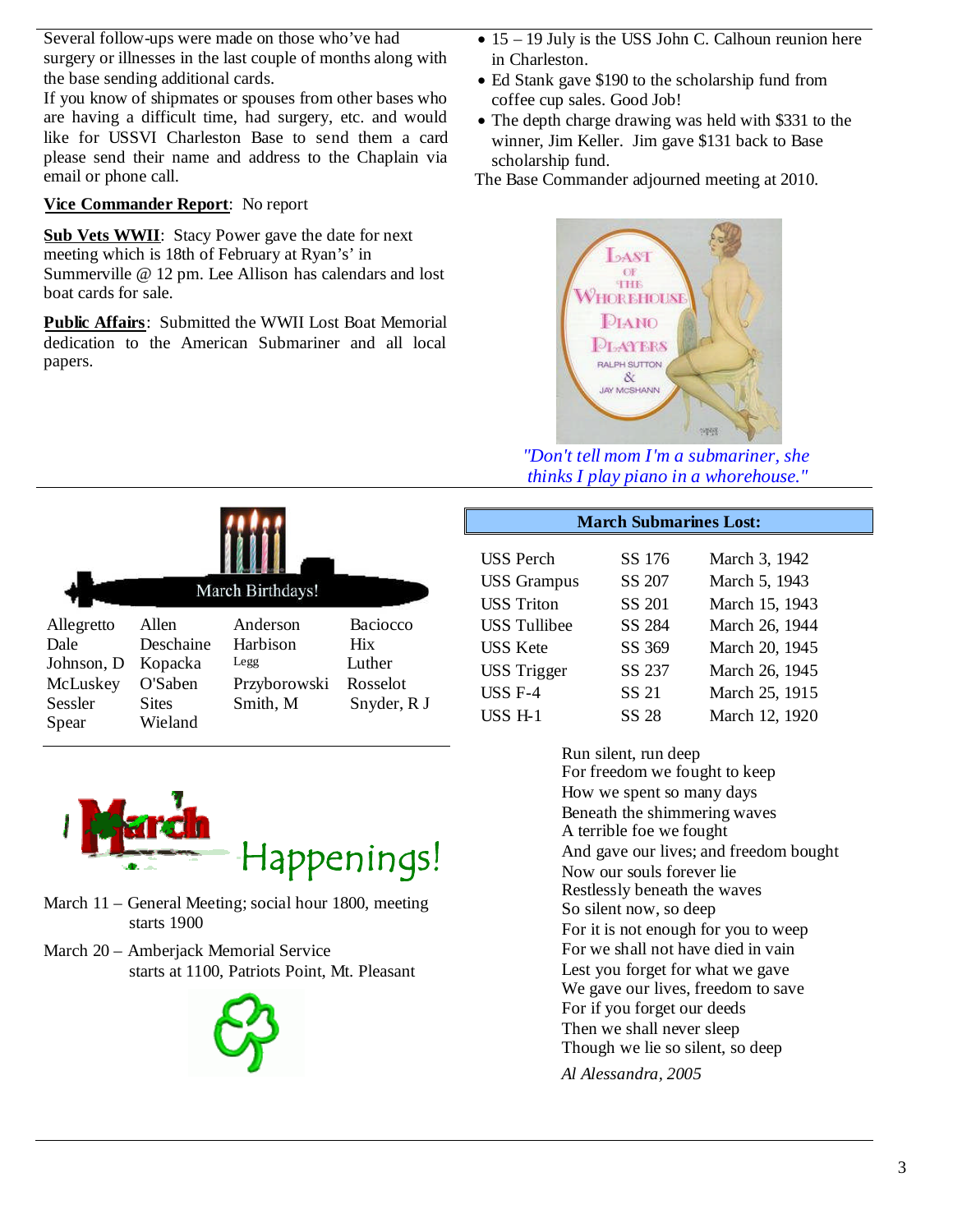Several follow-ups were made on those who've had surgery or illnesses in the last couple of months along with the base sending additional cards.

If you know of shipmates or spouses from other bases who are having a difficult time, had surgery, etc. and would like for USSVI Charleston Base to send them a card please send their name and address to the Chaplain via email or phone call.

## **Vice Commander Report**: No report

**Sub Vets WWII**: Stacy Power gave the date for next meeting which is 18th of February at Ryan's' in Summerville @ 12 pm. Lee Allison has calendars and lost boat cards for sale.

**Public Affairs**: Submitted the WWII Lost Boat Memorial dedication to the American Submariner and all local papers.

- 15 19 July is the USS John C. Calhoun reunion here in Charleston.
- Ed Stank gave \$190 to the scholarship fund from coffee cup sales. Good Job!
- The depth charge drawing was held with \$331 to the winner, Jim Keller. Jim gave \$131 back to Base scholarship fund.

The Base Commander adjourned meeting at 2010.



*"Don't tell mom I'm a submariner, she thinks I play piano in a whorehouse."*

| March Birthdays!                          |                                                 |                                              |                                                  |  |
|-------------------------------------------|-------------------------------------------------|----------------------------------------------|--------------------------------------------------|--|
| Allegretto                                | Allen                                           | Anderson                                     | Baciocco                                         |  |
| Dale<br>Johnson, D<br>McLuskey<br>Sessler | Deschaine<br>Kopacka<br>O'Saben<br><b>Sites</b> | Harbison<br>Legg<br>Przyborowski<br>Smith, M | <b>H</b> ix<br>Luther<br>Rosselot<br>Snyder, R J |  |
| Spear                                     | Wieland                                         |                                              |                                                  |  |



- March 11 General Meeting; social hour 1800, meeting starts 1900
- March 20 Amberjack Memorial Service starts at 1100, Patriots Point, Mt. Pleasant



**March Submarines Lost:**

| <b>USS Perch</b><br><b>USS</b> Grampus<br><b>USS Triton</b><br><b>USS Tullibee</b><br><b>USS Kete</b><br><b>USS Trigger</b><br>$USS F-4$ | SS 176<br>SS 207<br>SS 201<br>SS 284<br>SS 369<br>SS 237<br>SS 21 | March 3, 1942<br>March 5, 1943<br>March 15, 1943<br>March 26, 1944<br>March 20, 1945<br>March 26, 1945<br>March 25, 1915 |
|------------------------------------------------------------------------------------------------------------------------------------------|-------------------------------------------------------------------|--------------------------------------------------------------------------------------------------------------------------|
| $USS$ H-1                                                                                                                                | SS 28                                                             | March 12, 1920                                                                                                           |
|                                                                                                                                          |                                                                   |                                                                                                                          |

Run silent, run deep For freedom we fought to keep How we spent so many days Beneath the shimmering waves A terrible foe we fought And gave our lives; and freedom bought Now our souls forever lie Restlessly beneath the waves So silent now, so deep For it is not enough for you to weep For we shall not have died in vain Lest you forget for what we gave We gave our lives, freedom to save For if you forget our deeds Then we shall never sleep Though we lie so silent, so deep *Al Alessandra, 2005*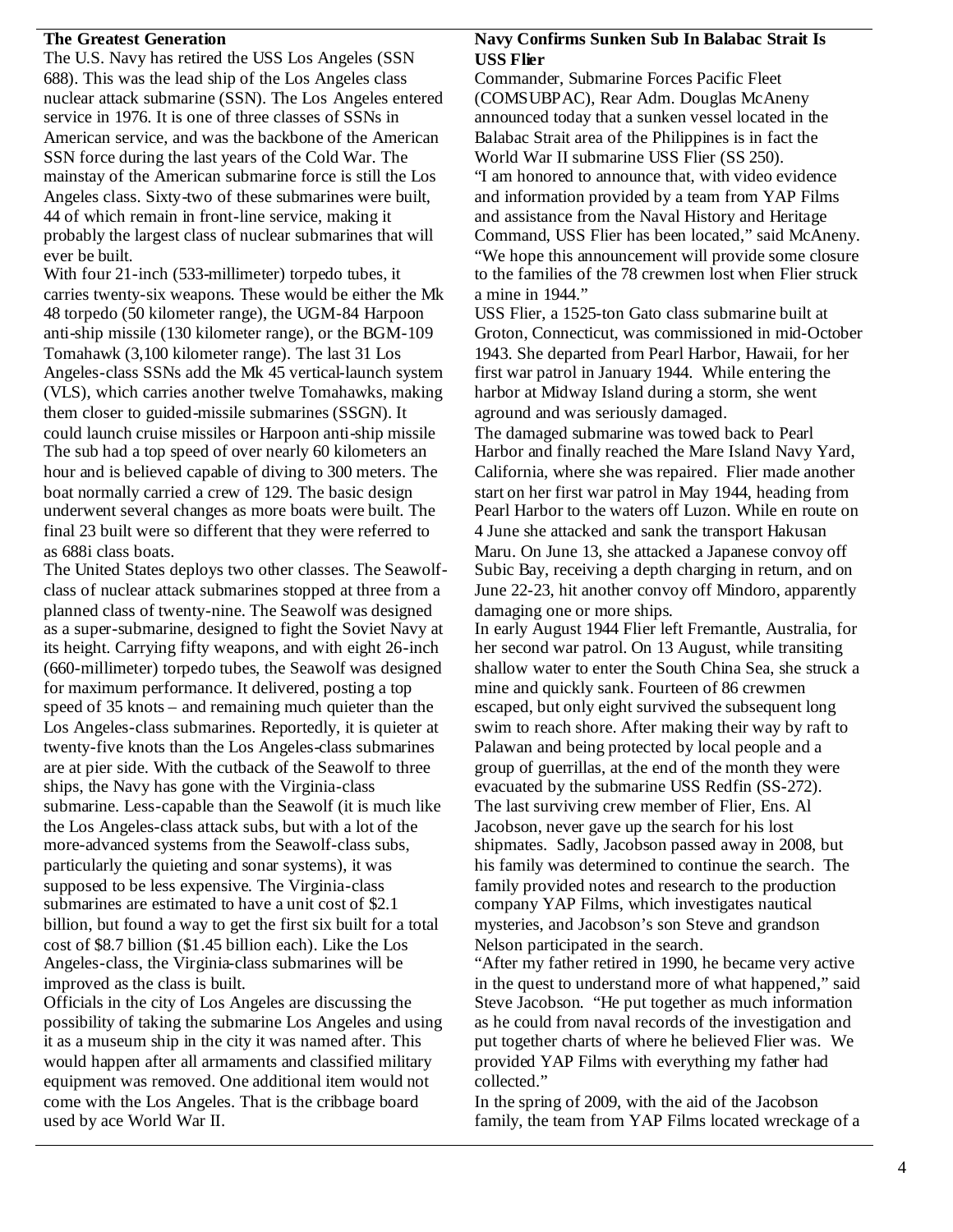#### **The Greatest Generation**

The U.S. Navy has retired the USS Los Angeles (SSN 688). This was the lead ship of the Los Angeles class nuclear attack submarine (SSN). The Los Angeles entered service in 1976. It is one of three classes of SSNs in American service, and was the backbone of the American SSN force during the last years of the Cold War. The mainstay of the American submarine force is still the Los Angeles class. Sixty-two of these submarines were built, 44 of which remain in front-line service, making it probably the largest class of nuclear submarines that will ever be built.

With four 21-inch (533-millimeter) torpedo tubes, it carries twenty-six weapons. These would be either the Mk 48 torpedo (50 kilometer range), the UGM-84 Harpoon anti-ship missile (130 kilometer range), or the BGM-109 Tomahawk (3,100 kilometer range). The last 31 Los Angeles-class SSNs add the Mk 45 vertical-launch system (VLS), which carries another twelve Tomahawks, making them closer to guided-missile submarines (SSGN). It could launch cruise missiles or Harpoon anti-ship missile The sub had a top speed of over nearly 60 kilometers an hour and is believed capable of diving to 300 meters. The boat normally carried a crew of 129. The basic design underwent several changes as more boats were built. The final 23 built were so different that they were referred to as 688i class boats.

The United States deploys two other classes. The Seawolfclass of nuclear attack submarines stopped at three from a planned class of twenty-nine. The Seawolf was designed as a super-submarine, designed to fight the Soviet Navy at its height. Carrying fifty weapons, and with eight 26-inch (660-millimeter) torpedo tubes, the Seawolf was designed for maximum performance. It delivered, posting a top speed of 35 knots – and remaining much quieter than the Los Angeles-class submarines. Reportedly, it is quieter at twenty-five knots than the Los Angeles-class submarines are at pier side. With the cutback of the Seawolf to three ships, the Navy has gone with the Virginia-class submarine. Less-capable than the Seawolf (it is much like the Los Angeles-class attack subs, but with a lot of the more-advanced systems from the Seawolf-class subs, particularly the quieting and sonar systems), it was supposed to be less expensive. The Virginia-class submarines are estimated to have a unit cost of \$2.1 billion, but found a way to get the first six built for a total cost of \$8.7 billion (\$1.45 billion each). Like the Los Angeles-class, the Virginia-class submarines will be improved as the class is built.

Officials in the city of Los Angeles are discussing the possibility of taking the submarine Los Angeles and using it as a museum ship in the city it was named after. This would happen after all armaments and classified military equipment was removed. One additional item would not come with the Los Angeles. That is the cribbage board used by ace World War II.

#### **Navy Confirms Sunken Sub In Balabac Strait Is USS Flier**

Commander, Submarine Forces Pacific Fleet (COMSUBPAC), Rear Adm. Douglas McAneny announced today that a sunken vessel located in the Balabac Strait area of the Philippines is in fact the World War II submarine USS Flier (SS 250). "I am honored to announce that, with video evidence and information provided by a team from YAP Films and assistance from the Naval History and Heritage Command, USS Flier has been located," said McAneny. "We hope this announcement will provide some closure to the families of the 78 crewmen lost when Flier struck a mine in 1944."

USS Flier, a 1525-ton Gato class submarine built at Groton, Connecticut, was commissioned in mid-October 1943. She departed from Pearl Harbor, Hawaii, for her first war patrol in January 1944. While entering the harbor at Midway Island during a storm, she went aground and was seriously damaged.

The damaged submarine was towed back to Pearl Harbor and finally reached the Mare Island Navy Yard, California, where she was repaired. Flier made another start on her first war patrol in May 1944, heading from Pearl Harbor to the waters off Luzon. While en route on 4 June she attacked and sank the transport Hakusan Maru. On June 13, she attacked a Japanese convoy off Subic Bay, receiving a depth charging in return, and on June 22-23, hit another convoy off Mindoro, apparently damaging one or more ships.

In early August 1944 Flier left Fremantle, Australia, for her second war patrol. On 13 August, while transiting shallow water to enter the South China Sea, she struck a mine and quickly sank. Fourteen of 86 crewmen escaped, but only eight survived the subsequent long swim to reach shore. After making their way by raft to Palawan and being protected by local people and a group of guerrillas, at the end of the month they were evacuated by the submarine USS Redfin (SS-272). The last surviving crew member of Flier, Ens. Al Jacobson, never gave up the search for his lost shipmates. Sadly, Jacobson passed away in 2008, but his family was determined to continue the search. The family provided notes and research to the production company YAP Films, which investigates nautical mysteries, and Jacobson's son Steve and grandson Nelson participated in the search.

"After my father retired in 1990, he became very active in the quest to understand more of what happened," said Steve Jacobson. "He put together as much information as he could from naval records of the investigation and put together charts of where he believed Flier was. We provided YAP Films with everything my father had collected."

In the spring of 2009, with the aid of the Jacobson family, the team from YAP Films located wreckage of a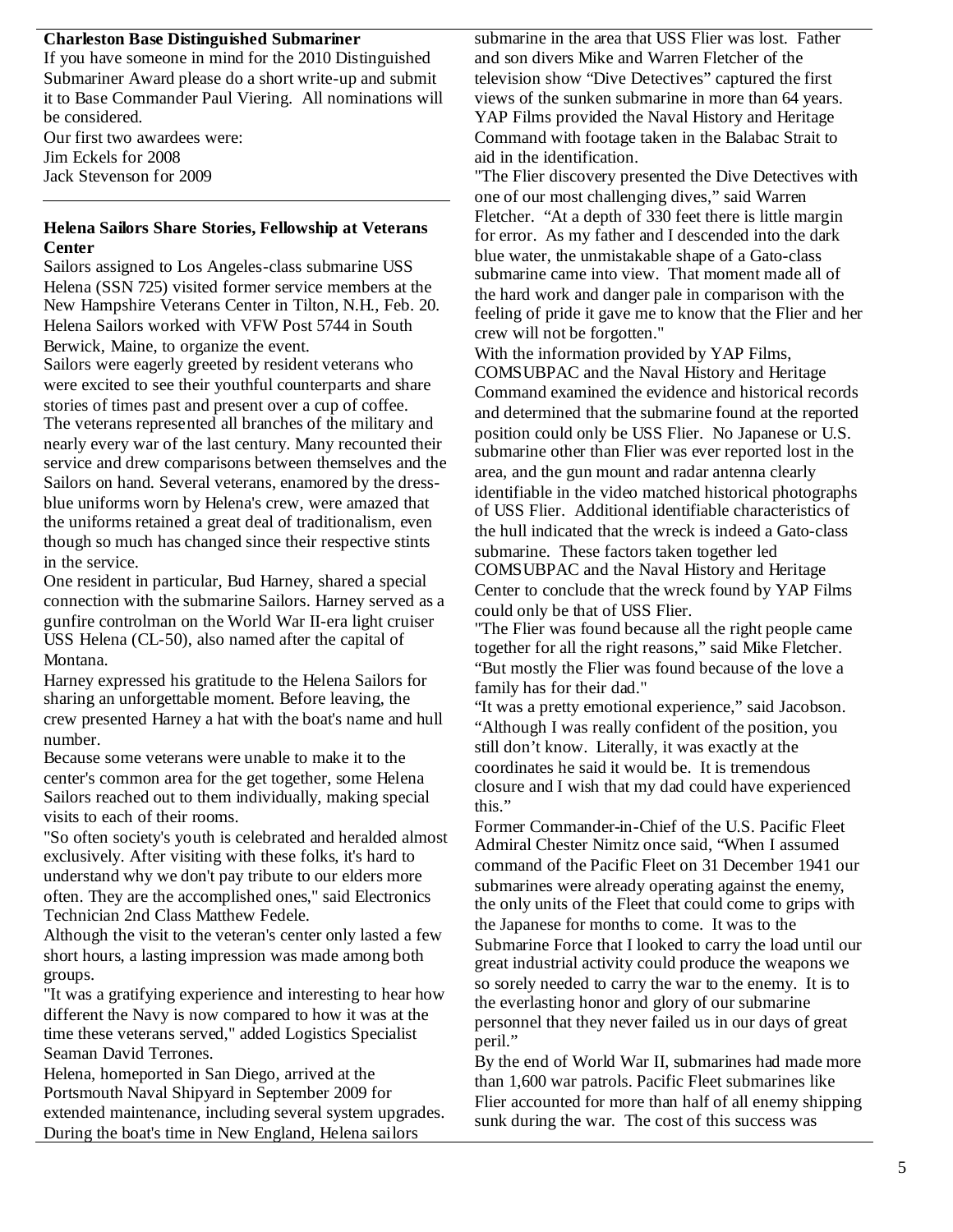#### **Charleston Base Distinguished Submariner**

If you have someone in mind for the 2010 Distinguished Submariner Award please do a short write-up and submit it to Base Commander Paul Viering. All nominations will be considered.

Our first two awardees were: Jim Eckels for 2008 Jack Stevenson for 2009

#### **Helena Sailors Share Stories, Fellowship at Veterans Center**

Sailors assigned to Los Angeles-class submarine USS Helena (SSN 725) visited former service members at the New Hampshire Veterans Center in Tilton, N.H., Feb. 20. Helena Sailors worked with VFW Post 5744 in South Berwick, Maine, to organize the event.

Sailors were eagerly greeted by resident veterans who were excited to see their youthful counterparts and share stories of times past and present over a cup of coffee. The veterans represented all branches of the military and nearly every war of the last century. Many recounted their service and drew comparisons between themselves and the Sailors on hand. Several veterans, enamored by the dressblue uniforms worn by Helena's crew, were amazed that the uniforms retained a great deal of traditionalism, even though so much has changed since their respective stints in the service.

One resident in particular, Bud Harney, shared a special connection with the submarine Sailors. Harney served as a gunfire controlman on the World War II-era light cruiser USS Helena (CL-50), also named after the capital of Montana.

Harney expressed his gratitude to the Helena Sailors for sharing an unforgettable moment. Before leaving, the crew presented Harney a hat with the boat's name and hull number.

Because some veterans were unable to make it to the center's common area for the get together, some Helena Sailors reached out to them individually, making special visits to each of their rooms.

"So often society's youth is celebrated and heralded almost exclusively. After visiting with these folks, it's hard to understand why we don't pay tribute to our elders more often. They are the accomplished ones," said Electronics Technician 2nd Class Matthew Fedele.

Although the visit to the veteran's center only lasted a few short hours, a lasting impression was made among both groups.

"It was a gratifying experience and interesting to hear how different the Navy is now compared to how it was at the time these veterans served," added Logistics Specialist Seaman David Terrones.

Helena, homeported in San Diego, arrived at the Portsmouth Naval Shipyard in September 2009 for extended maintenance, including several system upgrades. During the boat's time in New England, Helena sailors

submarine in the area that USS Flier was lost. Father and son divers Mike and Warren Fletcher of the television show "Dive Detectives" captured the first views of the sunken submarine in more than 64 years. YAP Films provided the Naval History and Heritage Command with footage taken in the Balabac Strait to aid in the identification.

"The Flier discovery presented the Dive Detectives with one of our most challenging dives," said Warren Fletcher. "At a depth of 330 feet there is little margin for error. As my father and I descended into the dark blue water, the unmistakable shape of a Gato-class submarine came into view. That moment made all of the hard work and danger pale in comparison with the feeling of pride it gave me to know that the Flier and her crew will not be forgotten."

With the information provided by YAP Films, COMSUBPAC and the Naval History and Heritage Command examined the evidence and historical records and determined that the submarine found at the reported position could only be USS Flier. No Japanese or U.S. submarine other than Flier was ever reported lost in the area, and the gun mount and radar antenna clearly identifiable in the video matched historical photographs of USS Flier. Additional identifiable characteristics of the hull indicated that the wreck is indeed a Gato-class submarine. These factors taken together led COMSUBPAC and the Naval History and Heritage Center to conclude that the wreck found by YAP Films could only be that of USS Flier.

"The Flier was found because all the right people came together for all the right reasons," said Mike Fletcher. "But mostly the Flier was found because of the love a family has for their dad."

"It was a pretty emotional experience," said Jacobson. "Although I was really confident of the position, you still don't know. Literally, it was exactly at the coordinates he said it would be. It is tremendous closure and I wish that my dad could have experienced this."

Former Commander-in-Chief of the U.S. Pacific Fleet Admiral Chester Nimitz once said, "When I assumed command of the Pacific Fleet on 31 December 1941 our submarines were already operating against the enemy, the only units of the Fleet that could come to grips with the Japanese for months to come. It was to the Submarine Force that I looked to carry the load until our great industrial activity could produce the weapons we so sorely needed to carry the war to the enemy. It is to the everlasting honor and glory of our submarine personnel that they never failed us in our days of great peril."

By the end of World War II, submarines had made more than 1,600 war patrols. Pacific Fleet submarines like Flier accounted for more than half of all enemy shipping sunk during the war. The cost of this success was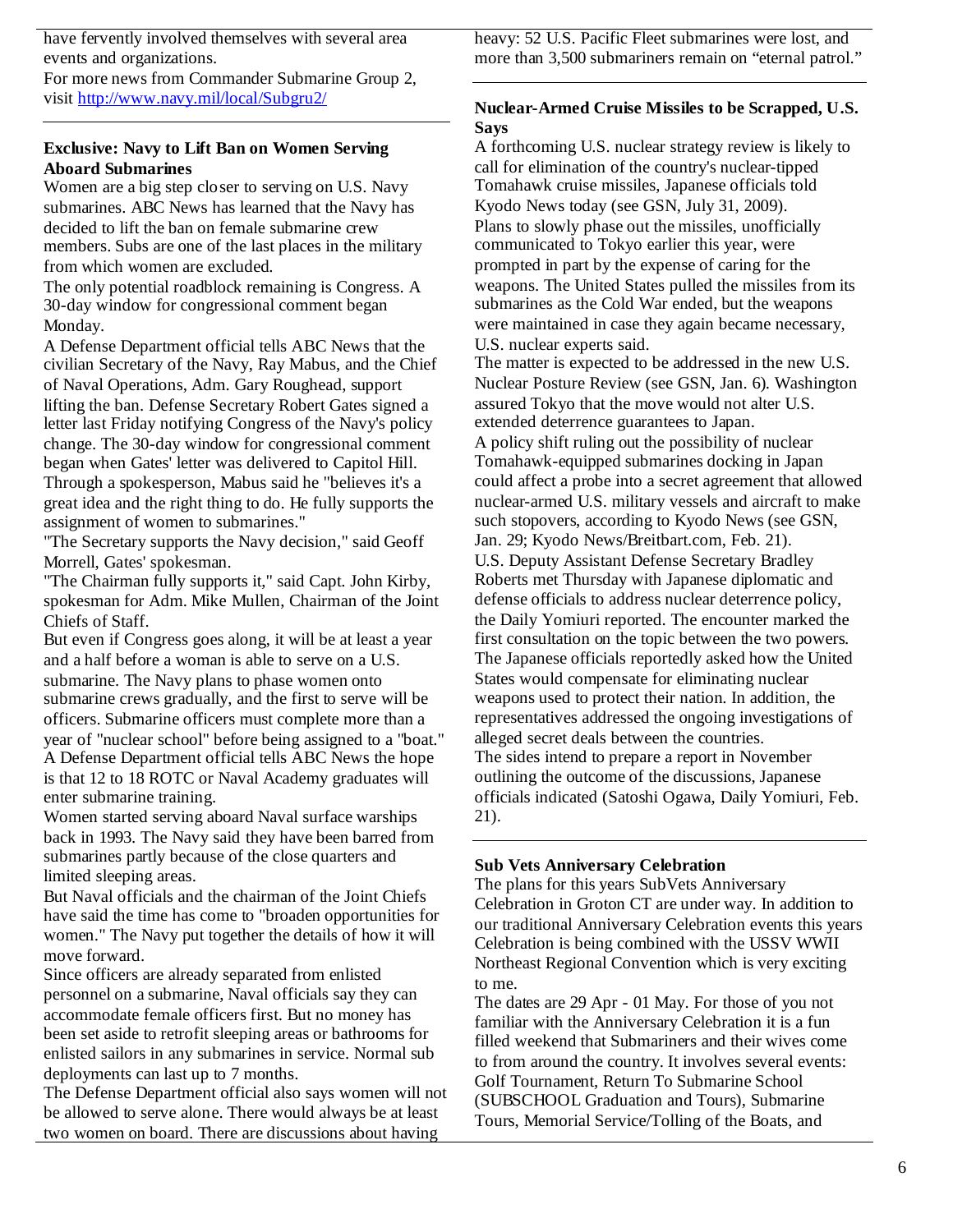have fervently involved themselves with several area events and organizations.

For more news from Commander Submarine Group 2, visit http://www.navy.mil/local/Subgru2/

### **Exclusive: Navy to Lift Ban on Women Serving Aboard Submarines**

Women are a big step closer to serving on U.S. Navy submarines. ABC News has learned that the Navy has decided to lift the ban on female submarine crew members. Subs are one of the last places in the military from which women are excluded.

The only potential roadblock remaining is Congress. A 30-day window for congressional comment began Monday.

A Defense Department official tells ABC News that the civilian Secretary of the Navy, Ray Mabus, and the Chief of Naval Operations, Adm. Gary Roughead, support lifting the ban. Defense Secretary Robert Gates signed a letter last Friday notifying Congress of the Navy's policy change. The 30-day window for congressional comment began when Gates' letter was delivered to Capitol Hill. Through a spokesperson, Mabus said he "believes it's a great idea and the right thing to do. He fully supports the assignment of women to submarines."

"The Secretary supports the Navy decision," said Geoff Morrell, Gates' spokesman.

"The Chairman fully supports it," said Capt. John Kirby, spokesman for Adm. Mike Mullen, Chairman of the Joint Chiefs of Staff.

But even if Congress goes along, it will be at least a year and a half before a woman is able to serve on a U.S. submarine. The Navy plans to phase women onto submarine crews gradually, and the first to serve will be officers. Submarine officers must complete more than a year of "nuclear school" before being assigned to a "boat." A Defense Department official tells ABC News the hope is that 12 to 18 ROTC or Naval Academy graduates will enter submarine training.

Women started serving aboard Naval surface warships back in 1993. The Navy said they have been barred from submarines partly because of the close quarters and limited sleeping areas.

But Naval officials and the chairman of the Joint Chiefs have said the time has come to "broaden opportunities for women." The Navy put together the details of how it will move forward.

Since officers are already separated from enlisted personnel on a submarine, Naval officials say they can accommodate female officers first. But no money has been set aside to retrofit sleeping areas or bathrooms for enlisted sailors in any submarines in service. Normal sub deployments can last up to 7 months.

The Defense Department official also says women will not be allowed to serve alone. There would always be at least two women on board. There are discussions about having

heavy: 52 U.S. Pacific Fleet submarines were lost, and more than 3,500 submariners remain on "eternal patrol."

## **Nuclear-Armed Cruise Missiles to be Scrapped, U.S. Says**

A forthcoming U.S. nuclear strategy review is likely to call for elimination of the country's nuclear-tipped Tomahawk cruise missiles, Japanese officials told Kyodo News today (see GSN, July 31, 2009). Plans to slowly phase out the missiles, unofficially communicated to Tokyo earlier this year, were prompted in part by the expense of caring for the weapons. The United States pulled the missiles from its submarines as the Cold War ended, but the weapons were maintained in case they again became necessary, U.S. nuclear experts said.

The matter is expected to be addressed in the new U.S. Nuclear Posture Review (see GSN, Jan. 6). Washington assured Tokyo that the move would not alter U.S. extended deterrence guarantees to Japan.

A policy shift ruling out the possibility of nuclear Tomahawk-equipped submarines docking in Japan could affect a probe into a secret agreement that allowed nuclear-armed U.S. military vessels and aircraft to make such stopovers, according to Kyodo News (see GSN, Jan. 29; Kyodo News/Breitbart.com, Feb. 21). U.S. Deputy Assistant Defense Secretary Bradley Roberts met Thursday with Japanese diplomatic and defense officials to address nuclear deterrence policy, the Daily Yomiuri reported. The encounter marked the first consultation on the topic between the two powers. The Japanese officials reportedly asked how the United States would compensate for eliminating nuclear weapons used to protect their nation. In addition, the representatives addressed the ongoing investigations of alleged secret deals between the countries. The sides intend to prepare a report in November outlining the outcome of the discussions, Japanese officials indicated (Satoshi Ogawa, Daily Yomiuri, Feb. 21).

## **Sub Vets Anniversary Celebration**

The plans for this years SubVets Anniversary Celebration in Groton CT are under way. In addition to our traditional Anniversary Celebration events this years Celebration is being combined with the USSV WWII Northeast Regional Convention which is very exciting to me.

The dates are 29 Apr - 01 May. For those of you not familiar with the Anniversary Celebration it is a fun filled weekend that Submariners and their wives come to from around the country. It involves several events: Golf Tournament, Return To Submarine School (SUBSCHOOL Graduation and Tours), Submarine Tours, Memorial Service/Tolling of the Boats, and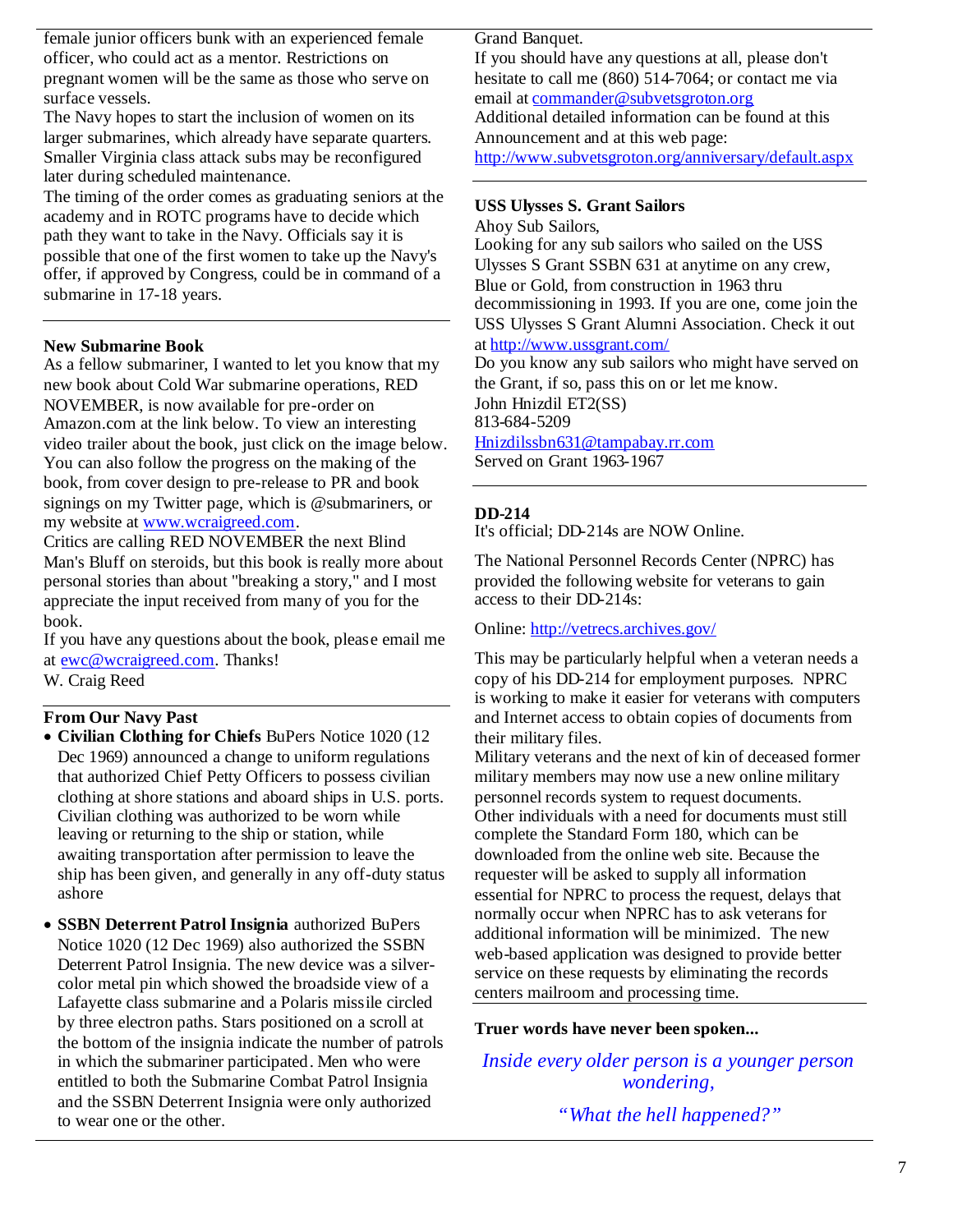female junior officers bunk with an experienced female officer, who could act as a mentor. Restrictions on pregnant women will be the same as those who serve on surface vessels.

The Navy hopes to start the inclusion of women on its larger submarines, which already have separate quarters. Smaller Virginia class attack subs may be reconfigured later during scheduled maintenance.

The timing of the order comes as graduating seniors at the academy and in ROTC programs have to decide which path they want to take in the Navy. Officials say it is possible that one of the first women to take up the Navy's offer, if approved by Congress, could be in command of a submarine in 17-18 years.

#### **New Submarine Book**

As a fellow submariner, I wanted to let you know that my new book about Cold War submarine operations, RED NOVEMBER, is now available for pre-order on Amazon.com at the link below. To view an interesting video trailer about the book, just click on the image below. You can also follow the progress on the making of the book, from cover design to pre-release to PR and book signings on my Twitter page, which is @submariners, or my website at www.wcraigreed.com.

Critics are calling RED NOVEMBER the next Blind Man's Bluff on steroids, but this book is really more about personal stories than about "breaking a story," and I most appreciate the input received from many of you for the book.

If you have any questions about the book, please email me at ewc@wcraigreed.com. Thanks!

W. Craig Reed

## **From Our Navy Past**

- **Civilian Clothing for Chiefs** BuPers Notice 1020 (12 Dec 1969) announced a change to uniform regulations that authorized Chief Petty Officers to possess civilian clothing at shore stations and aboard ships in U.S. ports. Civilian clothing was authorized to be worn while leaving or returning to the ship or station, while awaiting transportation after permission to leave the ship has been given, and generally in any off-duty status ashore
- **SSBN Deterrent Patrol Insignia** authorized BuPers Notice 1020 (12 Dec 1969) also authorized the SSBN Deterrent Patrol Insignia. The new device was a silvercolor metal pin which showed the broadside view of a Lafayette class submarine and a Polaris missile circled by three electron paths. Stars positioned on a scroll at the bottom of the insignia indicate the number of patrols in which the submariner participated. Men who were entitled to both the Submarine Combat Patrol Insignia and the SSBN Deterrent Insignia were only authorized to wear one or the other.

### Grand Banquet.

If you should have any questions at all, please don't hesitate to call me (860) 514-7064; or contact me via email at commander@subvetsgroton.org Additional detailed information can be found at this Announcement and at this web page: http://www.subvetsgroton.org/anniversary/default.aspx

## **USS Ulysses S. Grant Sailors**

#### Ahoy Sub Sailors,

Looking for any sub sailors who sailed on the USS Ulysses S Grant SSBN 631 at anytime on any crew, Blue or Gold, from construction in 1963 thru decommissioning in 1993. If you are one, come join the USS Ulysses S Grant Alumni Association. Check it out at http://www.ussgrant.com/

Do you know any sub sailors who might have served on the Grant, if so, pass this on or let me know. John Hnizdil ET2(SS) 813-684-5209 Hnizdilssbn631@tampabay.rr.com Served on Grant 1963-1967

## **DD-214**

It's official; DD-214s are NOW Online.

The National Personnel Records Center (NPRC) has provided the following website for veterans to gain access to their DD-214s:

#### Online: http://vetrecs.archives.gov/

This may be particularly helpful when a veteran needs a copy of his DD-214 for employment purposes. NPRC is working to make it easier for veterans with computers and Internet access to obtain copies of documents from their military files.

Military veterans and the next of kin of deceased former military members may now use a new online military personnel records system to request documents. Other individuals with a need for documents must still complete the Standard Form 180, which can be downloaded from the online web site. Because the requester will be asked to supply all information essential for NPRC to process the request, delays that normally occur when NPRC has to ask veterans for additional information will be minimized. The new web-based application was designed to provide better service on these requests by eliminating the records centers mailroom and processing time.

#### **Truer words have never been spoken...**

*Inside every older person is a younger person wondering, "What the hell happened?"*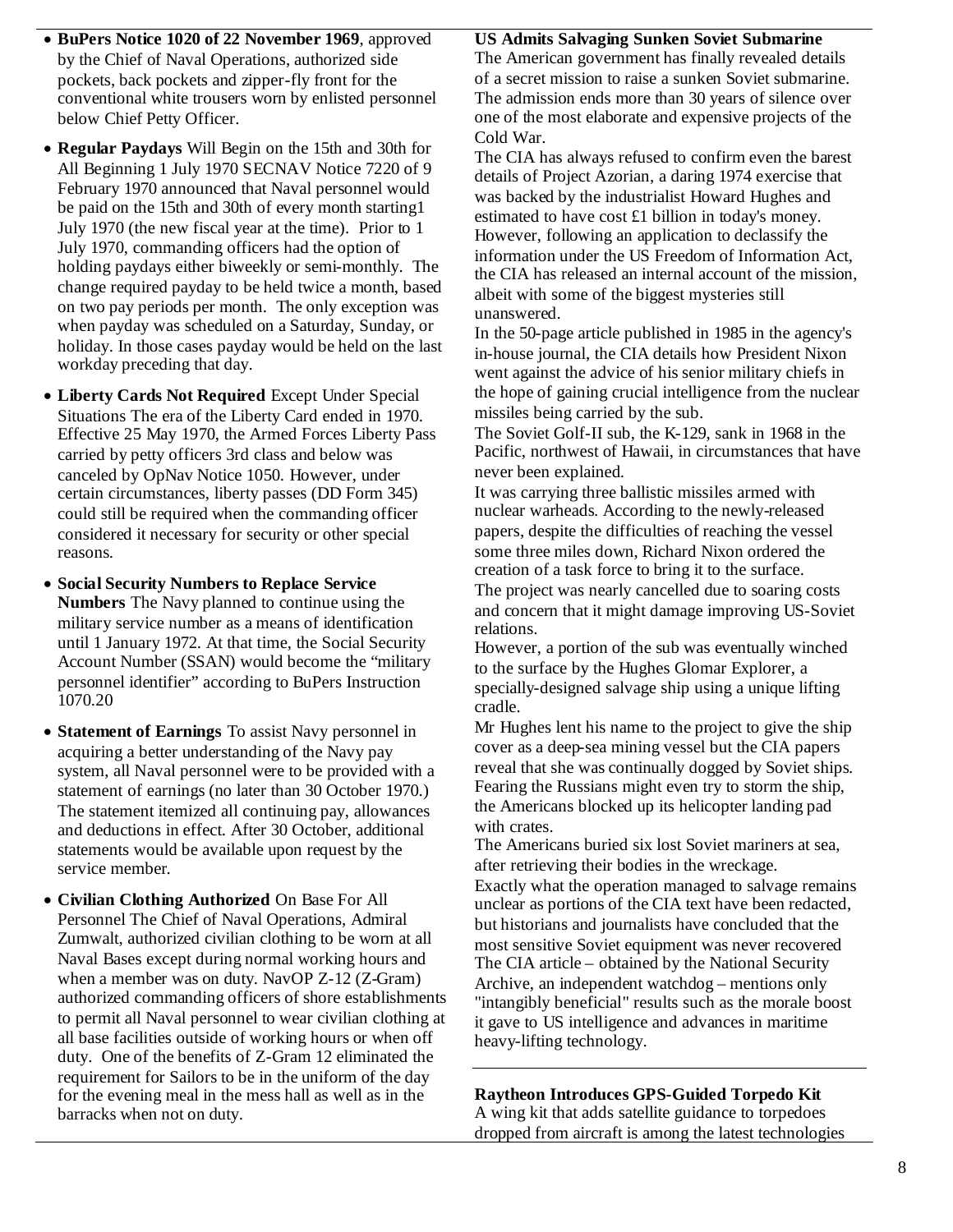- **BuPers Notice 1020 of 22 November 1969**, approved by the Chief of Naval Operations, authorized side pockets, back pockets and zipper-fly front for the conventional white trousers worn by enlisted personnel below Chief Petty Officer.
- **Regular Paydays** Will Begin on the 15th and 30th for All Beginning 1 July 1970 SECNAV Notice 7220 of 9 February 1970 announced that Naval personnel would be paid on the 15th and 30th of every month starting1 July 1970 (the new fiscal year at the time). Prior to 1 July 1970, commanding officers had the option of holding paydays either biweekly or semi-monthly. The change required payday to be held twice a month, based on two pay periods per month. The only exception was when payday was scheduled on a Saturday, Sunday, or holiday. In those cases payday would be held on the last workday preceding that day.
- **Liberty Cards Not Required** Except Under Special Situations The era of the Liberty Card ended in 1970. Effective 25 May 1970, the Armed Forces Liberty Pass carried by petty officers 3rd class and below was canceled by OpNav Notice 1050. However, under certain circumstances, liberty passes (DD Form 345) could still be required when the commanding officer considered it necessary for security or other special reasons.
- **Social Security Numbers to Replace Service Numbers** The Navy planned to continue using the military service number as a means of identification until 1 January 1972. At that time, the Social Security Account Number (SSAN) would become the "military personnel identifier" according to BuPers Instruction 1070.20
- **Statement of Earnings** To assist Navy personnel in acquiring a better understanding of the Navy pay system, all Naval personnel were to be provided with a statement of earnings (no later than 30 October 1970.) The statement itemized all continuing pay, allowances and deductions in effect. After 30 October, additional statements would be available upon request by the service member.
- **Civilian Clothing Authorized** On Base For All Personnel The Chief of Naval Operations, Admiral Zumwalt, authorized civilian clothing to be worn at all Naval Bases except during normal working hours and when a member was on duty. NavOP Z-12 (Z-Gram) authorized commanding officers of shore establishments to permit all Naval personnel to wear civilian clothing at all base facilities outside of working hours or when off duty. One of the benefits of Z-Gram 12 eliminated the requirement for Sailors to be in the uniform of the day for the evening meal in the mess hall as well as in the barracks when not on duty.

#### **US Admits Salvaging Sunken Soviet Submarine**

The American government has finally revealed details of a secret mission to raise a sunken Soviet submarine. The admission ends more than 30 years of silence over one of the most elaborate and expensive projects of the Cold War.

The CIA has always refused to confirm even the barest details of Project Azorian, a daring 1974 exercise that was backed by the industrialist Howard Hughes and estimated to have cost £1 billion in today's money. However, following an application to declassify the information under the US Freedom of Information Act, the CIA has released an internal account of the mission, albeit with some of the biggest mysteries still unanswered.

In the 50-page article published in 1985 in the agency's in-house journal, the CIA details how President Nixon went against the advice of his senior military chiefs in the hope of gaining crucial intelligence from the nuclear missiles being carried by the sub.

The Soviet Golf-II sub, the K-129, sank in 1968 in the Pacific, northwest of Hawaii, in circumstances that have never been explained.

It was carrying three ballistic missiles armed with nuclear warheads. According to the newly-released papers, despite the difficulties of reaching the vessel some three miles down, Richard Nixon ordered the creation of a task force to bring it to the surface. The project was nearly cancelled due to soaring costs

and concern that it might damage improving US-Soviet relations.

However, a portion of the sub was eventually winched to the surface by the Hughes Glomar Explorer, a specially-designed salvage ship using a unique lifting cradle.

Mr Hughes lent his name to the project to give the ship cover as a deep-sea mining vessel but the CIA papers reveal that she was continually dogged by Soviet ships. Fearing the Russians might even try to storm the ship, the Americans blocked up its helicopter landing pad with crates.

The Americans buried six lost Soviet mariners at sea, after retrieving their bodies in the wreckage. Exactly what the operation managed to salvage remains unclear as portions of the CIA text have been redacted, but historians and journalists have concluded that the most sensitive Soviet equipment was never recovered The CIA article – obtained by the National Security Archive, an independent watchdog – mentions only "intangibly beneficial" results such as the morale boost it gave to US intelligence and advances in maritime heavy-lifting technology.

#### **Raytheon Introduces GPS-Guided Torpedo Kit**

A wing kit that adds satellite guidance to torpedoes dropped from aircraft is among the latest technologies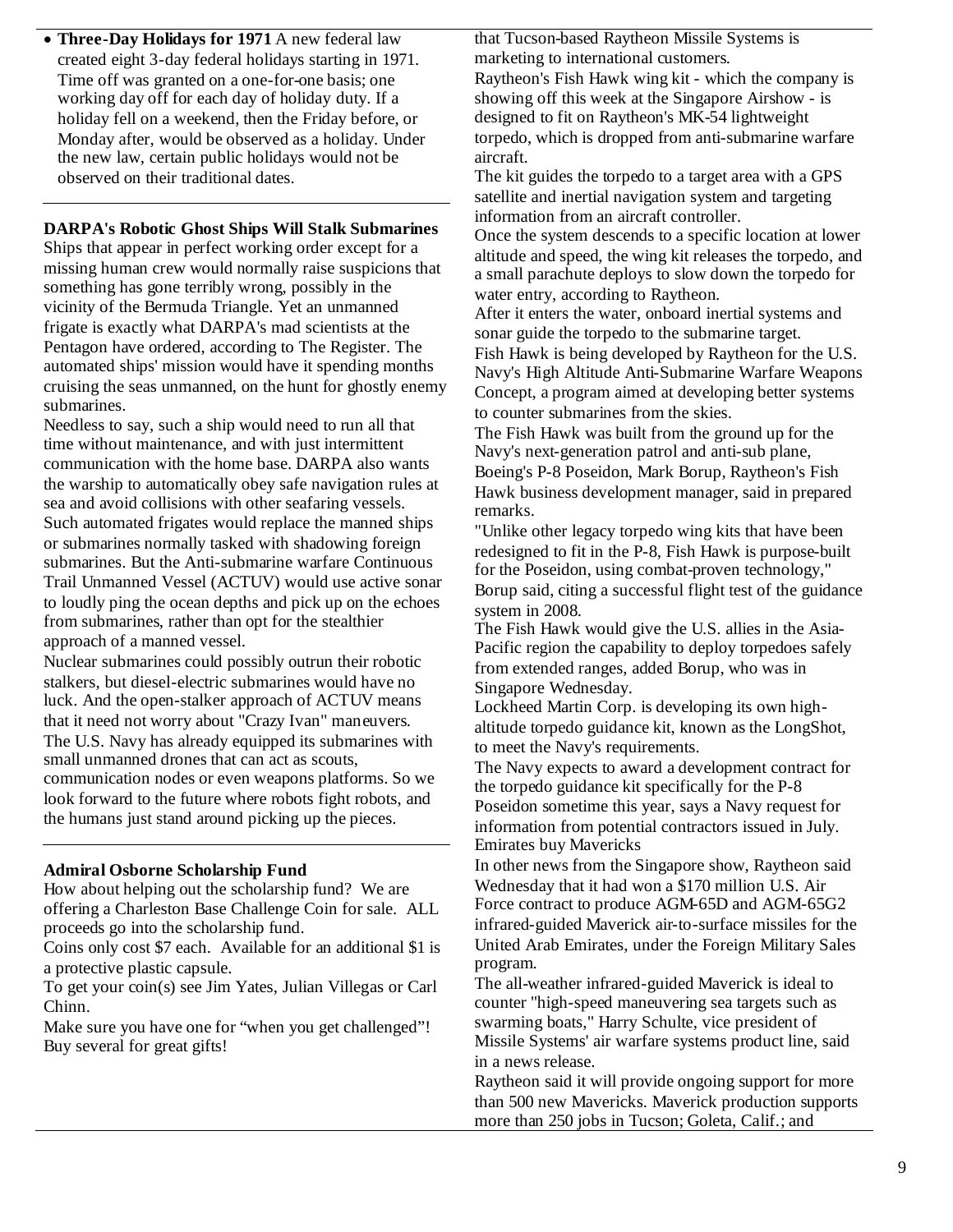**Three-Day Holidays for 1971** A new federal law created eight 3-day federal holidays starting in 1971. Time off was granted on a one-for-one basis; one working day off for each day of holiday duty. If a holiday fell on a weekend, then the Friday before, or Monday after, would be observed as a holiday. Under the new law, certain public holidays would not be observed on their traditional dates.

#### **DARPA's Robotic Ghost Ships Will Stalk Submarines**

Ships that appear in perfect working order except for a missing human crew would normally raise suspicions that something has gone terribly wrong, possibly in the vicinity of the Bermuda Triangle. Yet an unmanned frigate is exactly what DARPA's mad scientists at the Pentagon have ordered, according to The Register. The automated ships' mission would have it spending months cruising the seas unmanned, on the hunt for ghostly enemy submarines.

Needless to say, such a ship would need to run all that time without maintenance, and with just intermittent communication with the home base. DARPA also wants the warship to automatically obey safe navigation rules at sea and avoid collisions with other seafaring vessels. Such automated frigates would replace the manned ships or submarines normally tasked with shadowing foreign submarines. But the Anti-submarine warfare Continuous Trail Unmanned Vessel (ACTUV) would use active sonar to loudly ping the ocean depths and pick up on the echoes from submarines, rather than opt for the stealthier approach of a manned vessel.

Nuclear submarines could possibly outrun their robotic stalkers, but diesel-electric submarines would have no luck. And the open-stalker approach of ACTUV means that it need not worry about "Crazy Ivan" maneuvers. The U.S. Navy has already equipped its submarines with small unmanned drones that can act as scouts, communication nodes or even weapons platforms. So we look forward to the future where robots fight robots, and the humans just stand around picking up the pieces.

#### **Admiral Osborne Scholarship Fund**

How about helping out the scholarship fund? We are offering a Charleston Base Challenge Coin for sale. ALL proceeds go into the scholarship fund.

Coins only cost \$7 each. Available for an additional \$1 is a protective plastic capsule.

To get your coin(s) see Jim Yates, Julian Villegas or Carl Chinn.

Make sure you have one for "when you get challenged"! Buy several for great gifts!

that Tucson-based Raytheon Missile Systems is marketing to international customers.

Raytheon's Fish Hawk wing kit - which the company is showing off this week at the Singapore Airshow - is designed to fit on Raytheon's MK-54 lightweight torpedo, which is dropped from anti-submarine warfare aircraft.

The kit guides the torpedo to a target area with a GPS satellite and inertial navigation system and targeting information from an aircraft controller.

Once the system descends to a specific location at lower altitude and speed, the wing kit releases the torpedo, and a small parachute deploys to slow down the torpedo for water entry, according to Raytheon.

After it enters the water, onboard inertial systems and sonar guide the torpedo to the submarine target.

Fish Hawk is being developed by Raytheon for the U.S. Navy's High Altitude Anti-Submarine Warfare Weapons Concept, a program aimed at developing better systems to counter submarines from the skies.

The Fish Hawk was built from the ground up for the Navy's next-generation patrol and anti-sub plane, Boeing's P-8 Poseidon, Mark Borup, Raytheon's Fish Hawk business development manager, said in prepared remarks.

"Unlike other legacy torpedo wing kits that have been redesigned to fit in the P-8, Fish Hawk is purpose-built for the Poseidon, using combat-proven technology," Borup said, citing a successful flight test of the guidance system in 2008.

The Fish Hawk would give the U.S. allies in the Asia-Pacific region the capability to deploy torpedoes safely from extended ranges, added Borup, who was in Singapore Wednesday.

Lockheed Martin Corp. is developing its own highaltitude torpedo guidance kit, known as the LongShot, to meet the Navy's requirements.

The Navy expects to award a development contract for the torpedo guidance kit specifically for the P-8 Poseidon sometime this year, says a Navy request for information from potential contractors issued in July. Emirates buy Mavericks

In other news from the Singapore show, Raytheon said Wednesday that it had won a \$170 million U.S. Air Force contract to produce AGM-65D and AGM-65G2 infrared-guided Maverick air-to-surface missiles for the United Arab Emirates, under the Foreign Military Sales program.

The all-weather infrared-guided Maverick is ideal to counter "high-speed maneuvering sea targets such as swarming boats," Harry Schulte, vice president of Missile Systems' air warfare systems product line, said in a news release.

Raytheon said it will provide ongoing support for more than 500 new Mavericks. Maverick production supports more than 250 jobs in Tucson; Goleta, Calif.; and